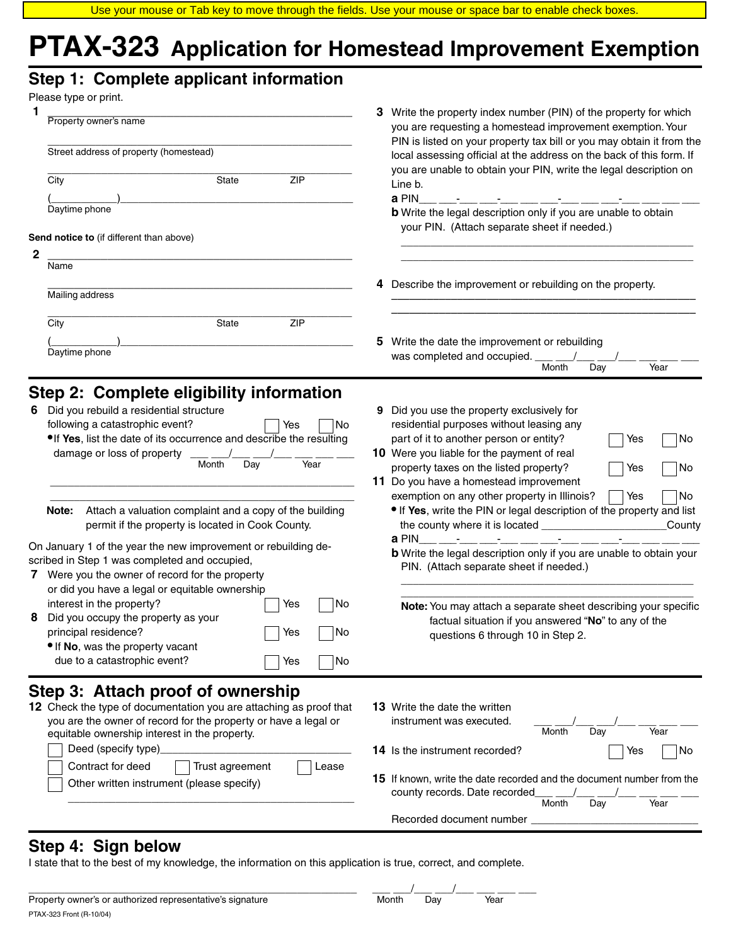# **PTAX-323 Application for Homestead Improvement Exemption**

# **Step 1: Complete applicant information**

| Please type or print.                                                                                                                                                                                                                                                                                                                                                                                                                                                                                                                                                                                                                                                                                                                                                                                                          |                                                                                                                                                                                                                                                                                                                                                                                                                                                                                                                                                                                                                                                                                                                                                                                      |
|--------------------------------------------------------------------------------------------------------------------------------------------------------------------------------------------------------------------------------------------------------------------------------------------------------------------------------------------------------------------------------------------------------------------------------------------------------------------------------------------------------------------------------------------------------------------------------------------------------------------------------------------------------------------------------------------------------------------------------------------------------------------------------------------------------------------------------|--------------------------------------------------------------------------------------------------------------------------------------------------------------------------------------------------------------------------------------------------------------------------------------------------------------------------------------------------------------------------------------------------------------------------------------------------------------------------------------------------------------------------------------------------------------------------------------------------------------------------------------------------------------------------------------------------------------------------------------------------------------------------------------|
| Property owner's name<br>Street address of property (homestead)                                                                                                                                                                                                                                                                                                                                                                                                                                                                                                                                                                                                                                                                                                                                                                | Write the property index number (PIN) of the property for which<br>3.<br>you are requesting a homestead improvement exemption. Your<br>PIN is listed on your property tax bill or you may obtain it from the<br>local assessing official at the address on the back of this form. If<br>you are unable to obtain your PIN, write the legal description on                                                                                                                                                                                                                                                                                                                                                                                                                            |
| <b>ZIP</b><br>City<br>State<br>Daytime phone                                                                                                                                                                                                                                                                                                                                                                                                                                                                                                                                                                                                                                                                                                                                                                                   | Line b.<br>a PIN<br><b>b</b> Write the legal description only if you are unable to obtain                                                                                                                                                                                                                                                                                                                                                                                                                                                                                                                                                                                                                                                                                            |
| Send notice to (if different than above)<br>2                                                                                                                                                                                                                                                                                                                                                                                                                                                                                                                                                                                                                                                                                                                                                                                  | your PIN. (Attach separate sheet if needed.)                                                                                                                                                                                                                                                                                                                                                                                                                                                                                                                                                                                                                                                                                                                                         |
| Name<br>Mailing address                                                                                                                                                                                                                                                                                                                                                                                                                                                                                                                                                                                                                                                                                                                                                                                                        | 4 Describe the improvement or rebuilding on the property.                                                                                                                                                                                                                                                                                                                                                                                                                                                                                                                                                                                                                                                                                                                            |
| <b>ZIP</b><br>City<br>State<br>Daytime phone                                                                                                                                                                                                                                                                                                                                                                                                                                                                                                                                                                                                                                                                                                                                                                                   | Write the date the improvement or rebuilding<br>5.                                                                                                                                                                                                                                                                                                                                                                                                                                                                                                                                                                                                                                                                                                                                   |
|                                                                                                                                                                                                                                                                                                                                                                                                                                                                                                                                                                                                                                                                                                                                                                                                                                | was completed and occupied. ____ __<br>Month<br>Day<br>Year                                                                                                                                                                                                                                                                                                                                                                                                                                                                                                                                                                                                                                                                                                                          |
| Step 2: Complete eligibility information<br>Did you rebuild a residential structure<br>following a catastrophic event?<br>Yes<br>No<br>. If Yes, list the date of its occurrence and describe the resulting<br>damage or loss of property<br>Month<br>Year<br>Day<br>Attach a valuation complaint and a copy of the building<br>Note:<br>permit if the property is located in Cook County.<br>On January 1 of the year the new improvement or rebuilding de-<br>scribed in Step 1 was completed and occupied,<br>7 Were you the owner of record for the property<br>or did you have a legal or equitable ownership<br>interest in the property?<br>No<br>Yes<br>Did you occupy the property as your<br>8<br>principal residence?<br>Yes<br>No<br>• If No, was the property vacant<br>due to a catastrophic event?<br>No<br>Yes | 9 Did you use the property exclusively for<br>residential purposes without leasing any<br>part of it to another person or entity?<br>No<br>Yes<br>10 Were you liable for the payment of real<br>property taxes on the listed property?<br>No<br>Yes<br>11 Do you have a homestead improvement<br>exemption on any other property in Illinois?<br>No<br>Yes<br>• If Yes, write the PIN or legal description of the property and list<br>_County<br>a PIN<br><u> 1999 - Johann Harry Barns</u><br><b>b</b> Write the legal description only if you are unable to obtain your<br>PIN. (Attach separate sheet if needed.)<br>Note: You may attach a separate sheet describing your specific<br>factual situation if you answered "No" to any of the<br>questions 6 through 10 in Step 2. |
| Step 3: Attach proof of ownership<br>12 Check the type of documentation you are attaching as proof that<br>you are the owner of record for the property or have a legal or<br>equitable ownership interest in the property.<br>Deed (specify type)<br>Contract for deed<br>Trust agreement<br>Lease<br>Other written instrument (please specify)                                                                                                                                                                                                                                                                                                                                                                                                                                                                               | <b>13</b> Write the date the written<br>instrument was executed.<br>Year<br>Month<br>Day<br><b>14</b> Is the instrument recorded?<br>No<br>Yes<br><b>15</b> If known, write the date recorded and the document number from the<br>county records. Date recorded<br>Month<br>Year<br>Day                                                                                                                                                                                                                                                                                                                                                                                                                                                                                              |

# **Step 4: Sign below**

I state that to the best of my knowledge, the information on this application is true, correct, and complete.

| Pronerty owner's or authorized representative's sur-<br>signature | Monti | ١a١ | Year |  |
|-------------------------------------------------------------------|-------|-----|------|--|